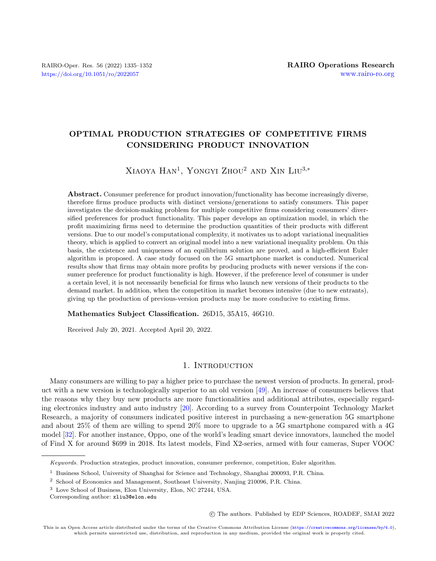## OPTIMAL PRODUCTION STRATEGIES OF COMPETITIVE FIRMS CONSIDERING PRODUCT INNOVATION

# $X$ iaoya Han<sup>1</sup>, Yongyi Zhou<sup>2</sup> and Xin Liu<sup>3,\*</sup>

Abstract. Consumer preference for product innovation/functionality has become increasingly diverse, therefore firms produce products with distinct versions/generations to satisfy consumers. This paper investigates the decision-making problem for multiple competitive firms considering consumers' diversified preferences for product functionality. This paper develops an optimization model, in which the profit maximizing firms need to determine the production quantities of their products with different versions. Due to our model's computational complexity, it motivates us to adopt variational inequalities theory, which is applied to convert an original model into a new variational inequality problem. On this basis, the existence and uniqueness of an equilibrium solution are proved, and a high-efficient Euler algorithm is proposed. A case study focused on the 5G smartphone market is conducted. Numerical results show that firms may obtain more profits by producing products with newer versions if the consumer preference for product functionality is high. However, if the preference level of consumer is under a certain level, it is not necessarily beneficial for firms who launch new versions of their products to the demand market. In addition, when the competition in market becomes intensive (due to new entrants), giving up the production of previous-version products may be more conducive to existing firms.

Mathematics Subject Classification. 26D15, 35A15, 46G10.

Received July 20, 2021. Accepted April 20, 2022.

## 1. INTRODUCTION

Many consumers are willing to pay a higher price to purchase the newest version of products. In general, product with a new version is technologically superior to an old version [\[49\]](#page-17-0). An increase of consumers believes that the reasons why they buy new products are more functionalities and additional attributes, especially regarding electronics industry and auto industry [\[20\]](#page-16-0). According to a survey from Counterpoint Technology Market Research, a majority of consumers indicated positive interest in purchasing a new-generation 5G smartphone and about 25% of them are willing to spend 20% more to upgrade to a 5G smartphone compared with a 4G model [\[32\]](#page-16-1). For another instance, Oppo, one of the world's leading smart device innovators, launched the model of Find X for around \$699 in 2018. Its latest models, Find X2-series, armed with four cameras, Super VOOC

○c The authors. Published by EDP Sciences, ROADEF, SMAI 2022

Keywords. Production strategies, product innovation, consumer preference, competition, Euler algorithm.

<sup>1</sup> Business School, University of Shanghai for Science and Technology, Shanghai 200093, P.R. China.

<sup>2</sup> School of Economics and Management, Southeast University, Nanjing 210096, P.R. China.

<sup>3</sup> Love School of Business, Elon University, Elon, NC 27244, USA.

Corresponding author: [xliu3@elon.edu](mailto:xliu3@elon.edu)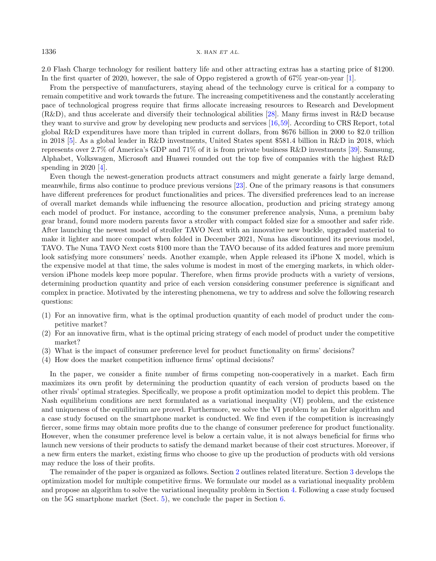2.0 Flash Charge technology for resilient battery life and other attracting extras has a starting price of \$1200. In the first quarter of 2020, however, the sale of Oppo registered a growth of 67% year-on-year [\[1\]](#page-15-0).

From the perspective of manufacturers, staying ahead of the technology curve is critical for a company to remain competitive and work towards the future. The increasing competitiveness and the constantly accelerating pace of technological progress require that firms allocate increasing resources to Research and Development (R&D), and thus accelerate and diversify their technological abilities [\[28\]](#page-16-2). Many firms invest in R&D because they want to survive and grow by developing new products and services [\[16,](#page-16-3)[59\]](#page-17-1). According to CRS Report, total global R&D expenditures have more than tripled in current dollars, from \$676 billion in 2000 to \$2.0 trillion in 2018 [\[5\]](#page-15-1). As a global leader in R&D investments, United States spent \$581.4 billion in R&D in 2018, which represents over 2.7% of America's GDP and 71% of it is from private business R&D investments [\[39\]](#page-16-4). Samsung, Alphabet, Volkswagen, Microsoft and Huawei rounded out the top five of companies with the highest R&D spending in 2020 [\[4\]](#page-15-2).

Even though the newest-generation products attract consumers and might generate a fairly large demand, meanwhile, firms also continue to produce previous versions [\[23\]](#page-16-5). One of the primary reasons is that consumers have different preferences for product functionalities and prices. The diversified preferences lead to an increase of overall market demands while influencing the resource allocation, production and pricing strategy among each model of product. For instance, according to the consumer preference analysis, Nuna, a premium baby gear brand, found more modern parents favor a stroller with compact folded size for a smoother and safer ride. After launching the newest model of stroller TAVO Next with an innovative new buckle, upgraded material to make it lighter and more compact when folded in December 2021, Nuna has discontinued its previous model, TAVO. The Nuna TAVO Next costs \$100 more than the TAVO because of its added features and more premium look satisfying more consumers' needs. Another example, when Apple released its iPhone X model, which is the expensive model at that time, the sales volume is modest in most of the emerging markets, in which olderversion iPhone models keep more popular. Therefore, when firms provide products with a variety of versions, determining production quantity and price of each version considering consumer preference is significant and complex in practice. Motivated by the interesting phenomena, we try to address and solve the following research questions:

- (1) For an innovative firm, what is the optimal production quantity of each model of product under the competitive market?
- (2) For an innovative firm, what is the optimal pricing strategy of each model of product under the competitive market?
- (3) What is the impact of consumer preference level for product functionality on firms' decisions?
- (4) How does the market competition influence firms' optimal decisions?

In the paper, we consider a finite number of firms competing non-cooperatively in a market. Each firm maximizes its own profit by determining the production quantity of each version of products based on the other rivals' optimal strategies. Specifically, we propose a profit optimization model to depict this problem. The Nash equilibrium conditions are next formulated as a variational inequality (VI) problem, and the existence and uniqueness of the equilibrium are proved. Furthermore, we solve the VI problem by an Euler algorithm and a case study focused on the smartphone market is conducted. We find even if the competition is increasingly fiercer, some firms may obtain more profits due to the change of consumer preference for product functionality. However, when the consumer preference level is below a certain value, it is not always beneficial for firms who launch new versions of their products to satisfy the demand market because of their cost structures. Moreover, if a new firm enters the market, existing firms who choose to give up the production of products with old versions may reduce the loss of their profits.

The remainder of the paper is organized as follows. Section [2](#page-2-0) outlines related literature. Section [3](#page-3-0) develops the optimization model for multiple competitive firms. We formulate our model as a variational inequality problem and propose an algorithm to solve the variational inequality problem in Section [4.](#page-5-0) Following a case study focused on the 5G smartphone market (Sect. [5\)](#page-8-0), we conclude the paper in Section [6.](#page-15-3)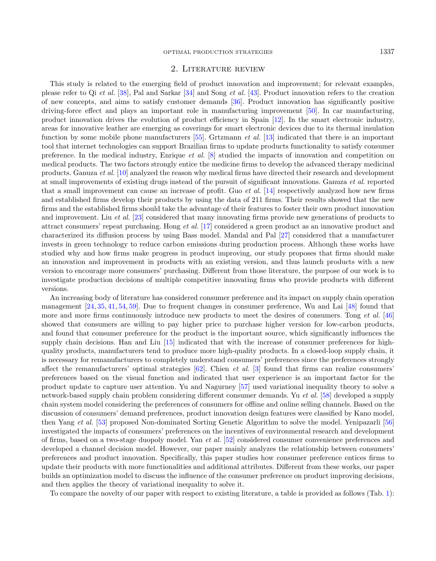## 2. Literature review

<span id="page-2-0"></span>This study is related to the emerging field of product innovation and improvement; for relevant examples, please refer to Qi et al. [\[38\]](#page-16-6), Pal and Sarkar [\[34\]](#page-16-7) and Song et al. [\[43\]](#page-16-8). Product innovation refers to the creation of new concepts, and aims to satisfy customer demands [\[36\]](#page-16-9). Product innovation has significantly positive driving-force effect and plays an important role in manufacturing improvement [\[50\]](#page-17-2). In car manufacturing, product innovation drives the evolution of product efficiency in Spain [\[12\]](#page-15-4). In the smart electronic industry, areas for innovative leather are emerging as coverings for smart electronic devices due to its thermal insulation function by some mobile phone manufacturers [\[55\]](#page-17-3). Grtzmann et al. [\[13\]](#page-16-10) indicated that there is an important tool that internet technologies can support Brazilian firms to update products functionality to satisfy consumer preference. In the medical industry, Enrique et al. [\[8\]](#page-15-5) studied the impacts of innovation and competition on medical products. The two factors strongly entice the medicine firms to develop the advanced therapy medicinal products. Ganuza et al. [\[10\]](#page-15-6) analyzed the reason why medical firms have directed their research and development at small improvements of existing drugs instead of the pursuit of significant innovations. Ganuza et al. reported that a small improvement can cause an increase of profit. Guo et al. [\[14\]](#page-16-11) respectively analyzed how new firms and established firms develop their products by using the data of 211 firms. Their results showed that the new firms and the established firms should take the advantage of their features to foster their own product innovation and improvement. Liu et al. [\[23\]](#page-16-5) considered that many innovating firms provide new generations of products to attract consumers' repeat purchasing. Hong et al. [\[17\]](#page-16-12) considered a green product as an innovative product and characterized its diffusion process by using Bass model. Mandal and Pal [\[27\]](#page-16-13) considered that a manufacturer invests in green technology to reduce carbon emissions during production process. Although these works have studied why and how firms make progress in product improving, our study proposes that firms should make an innovation and improvement in products with an existing version, and thus launch products with a new version to encourage more consumers' purchasing. Different from those literature, the purpose of our work is to investigate production decisions of multiple competitive innovating firms who provide products with different versions.

An increasing body of literature has considered consumer preference and its impact on supply chain operation management [\[24,](#page-16-14) [35,](#page-16-15) [41,](#page-16-16) [54,](#page-17-4) [59\]](#page-17-1). Due to frequent changes in consumer preference, Wu and Lai [\[48\]](#page-17-5) found that more and more firms continuously introduce new products to meet the desires of consumers. Tong *et al.* [\[46\]](#page-17-6) showed that consumers are willing to pay higher price to purchase higher version for low-carbon products, and found that consumer preference for the product is the important source, which significantly influences the supply chain decisions. Han and Liu [\[15\]](#page-16-17) indicated that with the increase of consumer preferences for highquality products, manufacturers tend to produce more high-quality products. In a closed-loop supply chain, it is necessary for remanufacturers to completely understand consumers' preferences since the preferences strongly affect the remanufacturers' optimal strategies  $[62]$ . Chien *et al.* [\[3\]](#page-15-7) found that firms can realize consumers' preferences based on the visual function and indicated that user experience is an important factor for the product update to capture user attention. Yu and Nagurney [\[57\]](#page-17-8) used variational inequality theory to solve a network-based supply chain problem considering different consumer demands. Yu et al. [\[58\]](#page-17-9) developed a supply chain system model considering the preferences of consumers for offline and online selling channels. Based on the discussion of consumers' demand preferences, product innovation design features were classified by Kano model, then Yang et al. [\[53\]](#page-17-10) proposed Non-dominated Sorting Genetic Algorithm to solve the model. Yenipazarli [\[56\]](#page-17-11) investigated the impacts of consumers' preferences on the incentives of environmental research and development of firms, based on a two-stage duopoly model. Yan et al. [\[52\]](#page-17-12) considered consumer convenience preferences and developed a channel decision model. However, our paper mainly analyzes the relationship between consumers' preferences and product innovation. Specifically, this paper studies how consumer preference entices firms to update their products with more functionalities and additional attributes. Different from these works, our paper builds an optimization model to discuss the influence of the consumer preference on product improving decisions, and then applies the theory of variational inequality to solve it.

To compare the novelty of our paper with respect to existing literature, a table is provided as follows (Tab. [1\)](#page-3-1):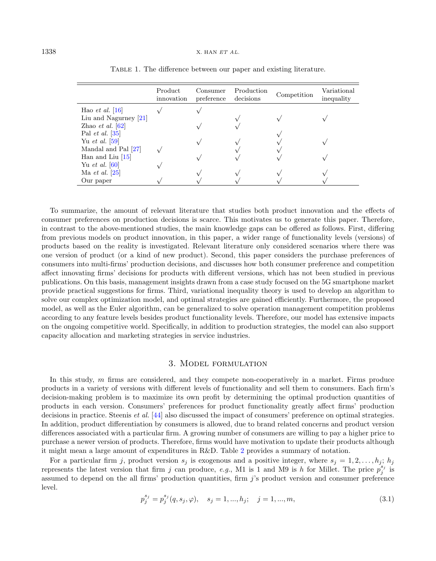|                          | Product<br>innovation | Consumer<br>preference | Production<br>decisions | Competition | Variational<br>inequality |
|--------------------------|-----------------------|------------------------|-------------------------|-------------|---------------------------|
| Hao <i>et al.</i> [16]   |                       |                        |                         |             |                           |
| Liu and Nagurney $[21]$  |                       |                        |                         |             |                           |
| Zhao et al. $[62]$       |                       |                        |                         |             |                           |
| Pal <i>et al.</i> $[35]$ |                       |                        |                         |             |                           |
| Yu <i>et al.</i> [59]    |                       |                        |                         |             |                           |
| Mandal and Pal [27]      |                       |                        |                         |             |                           |
| Han and Liu $[15]$       |                       |                        |                         |             |                           |
| Yu <i>et al.</i> $ 60 $  |                       |                        |                         |             |                           |
| Ma <i>et al.</i> $ 25 $  |                       |                        |                         |             |                           |
| Our paper                |                       |                        |                         |             |                           |

<span id="page-3-1"></span>Table 1. The difference between our paper and existing literature.

To summarize, the amount of relevant literature that studies both product innovation and the effects of consumer preferences on production decisions is scarce. This motivates us to generate this paper. Therefore, in contrast to the above-mentioned studies, the main knowledge gaps can be offered as follows. First, differing from previous models on product innovation, in this paper, a wider range of functionality levels (versions) of products based on the reality is investigated. Relevant literature only considered scenarios where there was one version of product (or a kind of new product). Second, this paper considers the purchase preferences of consumers into multi-firms' production decisions, and discusses how both consumer preference and competition affect innovating firms' decisions for products with different versions, which has not been studied in previous publications. On this basis, management insights drawn from a case study focused on the 5G smartphone market provide practical suggestions for firms. Third, variational inequality theory is used to develop an algorithm to solve our complex optimization model, and optimal strategies are gained efficiently. Furthermore, the proposed model, as well as the Euler algorithm, can be generalized to solve operation management competition problems according to any feature levels besides product functionality levels. Therefore, our model has extensive impacts on the ongoing competitive world. Specifically, in addition to production strategies, the model can also support capacity allocation and marketing strategies in service industries.

## 3. Model formulation

<span id="page-3-2"></span><span id="page-3-0"></span>In this study, m firms are considered, and they compete non-cooperatively in a market. Firms produce products in a variety of versions with different levels of functionality and sell them to consumers. Each firm's decision-making problem is to maximize its own profit by determining the optimal production quantities of products in each version. Consumers' preferences for product functionality greatly affect firms' production decisions in practice. Steenis et al. [\[44\]](#page-17-14) also discussed the impact of consumers' preference on optimal strategies. In addition, product differentiation by consumers is allowed, due to brand related concerns and product version differences associated with a particular firm. A growing number of consumers are willing to pay a higher price to purchase a newer version of products. Therefore, firms would have motivation to update their products although it might mean a large amount of expenditures in R&D. Table [2](#page-4-0) provides a summary of notation.

For a particular firm j, product version  $s_j$  is exogenous and a positive integer, where  $s_j = 1, 2, \ldots, h_j$ ;  $h_j$ represents the latest version that firm j can produce, e.g., M1 is 1 and M9 is h for Millet. The price  $p_j^{s_j}$  is assumed to depend on the all firms' production quantities, firm  $j$ 's product version and consumer preference level.

$$
p_j^{s_j} = p_j^{s_j}(q, s_j, \varphi), \quad s_j = 1, ..., h_j; \quad j = 1, ..., m,
$$
\n(3.1)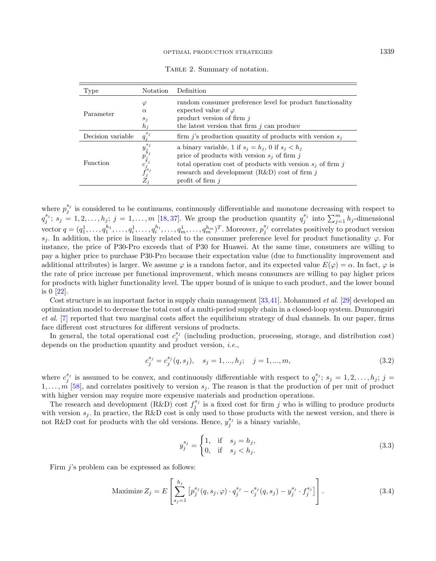<span id="page-4-0"></span>

|  | TABLE 2. Summary of notation. |  |  |
|--|-------------------------------|--|--|
|--|-------------------------------|--|--|

| Type              | Notation                                                                                              | Definition                                                                                                                                                                                                                                         |
|-------------------|-------------------------------------------------------------------------------------------------------|----------------------------------------------------------------------------------------------------------------------------------------------------------------------------------------------------------------------------------------------------|
| Parameter         | φ<br>$\alpha$<br>$s_i$<br>$h_i$                                                                       | random consumer preference level for product functionality<br>expected value of $\varphi$<br>product version of firm $j$<br>the latest version that firm $i$ can produce                                                                           |
| Decision variable | $q_i^{s_j}$                                                                                           | firm <i>j</i> 's production quantity of products with version $s_i$                                                                                                                                                                                |
| Function          | $y_{j}^{s_j} \overrightarrow{p}_{j}^{s_j} \overrightarrow{c}_{j}^{s_j} \overrightarrow{f}_j$<br>$Z_i$ | a binary variable, 1 if $s_j = h_j$ , 0 if $s_j < h_j$<br>price of products with version $s_i$ of firm j<br>total operation cost of products with version $s_i$ of firm j<br>research and development $(R&D)$ cost of firm j<br>profit of firm $i$ |

where  $p_j^{s_j}$  is considered to be continuous, continuously differentiable and monotone decreasing with respect to  $q_j^{s_j}; s_j = 1, 2, \ldots, h_j; j = 1, \ldots, m$  [\[18,](#page-16-20)[37\]](#page-16-21). We group the production quantity  $q_j^{s_j}$  into  $\sum_{j=1}^m h_j$ -dimensional vector  $q = (q_1^1, \ldots, q_1^{h_1}, \ldots, q_i^1, \ldots, q_m^{h_i}, \ldots, q_m^{h_m})^T$ . Moreover,  $p_j^{s_j}$  correlates positively to product version  $s_i$ . In addition, the price is linearly related to the consumer preference level for product functionality  $\varphi$ . For instance, the price of P30-Pro exceeds that of P30 for Huawei. At the same time, consumers are willing to pay a higher price to purchase P30-Pro because their expectation value (due to functionality improvement and additional attributes) is larger. We assume  $\varphi$  is a random factor, and its expected value  $E(\varphi) = \alpha$ . In fact,  $\varphi$  is the rate of price increase per functional improvement, which means consumers are willing to pay higher prices for products with higher functionality level. The upper bound of is unique to each product, and the lower bound is 0 [\[22\]](#page-16-22).

Cost structure is an important factor in supply chain management [\[33,](#page-16-23)[41\]](#page-16-16). Mohammed et al. [\[29\]](#page-16-24) developed an optimization model to decrease the total cost of a multi-period supply chain in a closed-loop system. Dumrongsiri et al. [\[7\]](#page-15-8) reported that two marginal costs affect the equilibrium strategy of dual channels. In our paper, firms face different cost structures for different versions of products.

In general, the total operational cost  $c_j^{s_j}$  (including production, processing, storage, and distribution cost) depends on the production quantity and product version, *i.e.*,

<span id="page-4-1"></span>
$$
c_j^{s_j} = c_j^{s_j}(q, s_j), \quad s_j = 1, ..., h_j; \quad j = 1, ..., m,
$$
\n(3.2)

where  $c_j^{s_j}$  is assumed to be convex, and continuously differentiable with respect to  $q_j^{s_j}; s_j = 1, 2, \ldots, h_j; j =$  $1, \ldots, m$  [\[58\]](#page-17-9), and correlates positively to version  $s_j$ . The reason is that the production of per unit of product with higher version may require more expensive materials and production operations.

The research and development (R&D) cost  $f_j^{s_j}$  is a fixed cost for firm j who is willing to produce products with version  $s_i$ . In practice, the R&D cost is only used to those products with the newest version, and there is not R&D cost for products with the old versions. Hence,  $y_j^{s_j}$  is a binary variable,

$$
y_j^{s_j} = \begin{cases} 1, & \text{if } s_j = h_j, \\ 0, & \text{if } s_j < h_j. \end{cases} \tag{3.3}
$$

Firm  $j$ 's problem can be expressed as follows:

Maximize 
$$
Z_j = E\left[\sum_{s_j=1}^{h_j} \left[p_j^{s_j}(q, s_j, \varphi) \cdot q_j^{s_j} - c_j^{s_j}(q, s_j) - y_j^{s_j} \cdot f_j^{s_j}\right]\right].
$$
 (3.4)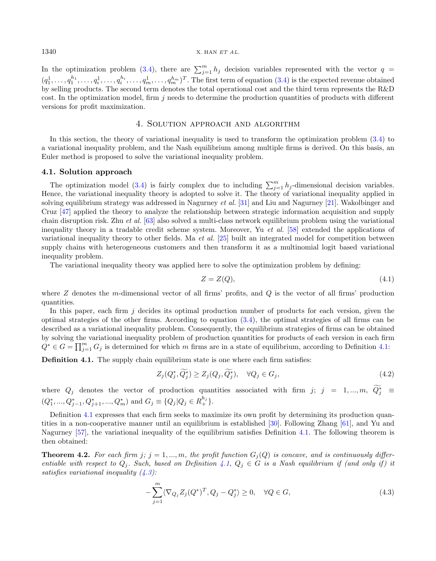#### $1340$  X. HAN ET AL.

In the optimization problem [\(3.4\)](#page-4-1), there are  $\sum_{j=1}^{m} h_j$  decision variables represented with the vector  $q =$  $(q_1^1,\ldots,q_1^{h_1},\ldots,q_i^1,\ldots,q_m^{h_i},\ldots,q_m^{h_m})^T$ . The first term of equation  $(3.4)$  is the expected revenue obtained by selling products. The second term denotes the total operational cost and the third term represents the R&D cost. In the optimization model, firm  $i$  needs to determine the production quantities of products with different versions for profit maximization.

## 4. Solution approach and algorithm

<span id="page-5-0"></span>In this section, the theory of variational inequality is used to transform the optimization problem [\(3.4\)](#page-4-1) to a variational inequality problem, and the Nash equilibrium among multiple firms is derived. On this basis, an Euler method is proposed to solve the variational inequality problem.

#### 4.1. Solution approach

The optimization model [\(3.4\)](#page-4-1) is fairly complex due to including  $\sum_{j=1}^{m} h_j$ -dimensional decision variables. Hence, the variational inequality theory is adopted to solve it. The theory of variational inequality applied in solving equilibrium strategy was addressed in Nagurney et al. [\[31\]](#page-16-25) and Liu and Nagurney [\[21\]](#page-16-18). Wakolbinger and Cruz [\[47\]](#page-17-15) applied the theory to analyze the relationship between strategic information acquisition and supply chain disruption risk. Zhu et al. [\[63\]](#page-17-16) also solved a multi-class network equilibrium problem using the variational inequality theory in a tradable credit scheme system. Moreover, Yu et al. [\[58\]](#page-17-9) extended the applications of variational inequality theory to other fields. Ma *et al.* [\[25\]](#page-16-19) built an integrated model for competition between supply chains with heterogeneous customers and then transform it as a multinomial logit based variational inequality problem.

The variational inequality theory was applied here to solve the optimization problem by defining:

$$
Z = Z(Q),\tag{4.1}
$$

where  $Z$  denotes the m-dimensional vector of all firms' profits, and  $Q$  is the vector of all firms' production quantities.

In this paper, each firm  $j$  decides its optimal production number of products for each version, given the optimal strategies of the other firms. According to equation [\(3.4\)](#page-4-1), the optimal strategies of all firms can be described as a variational inequality problem. Consequently, the equilibrium strategies of firms can be obtained by solving the variational inequality problem of production quantities for products of each version in each firm  $Q^* \in G = \prod_{j=1}^m G_j$  is determined for which m firms are in a state of equilibrium, according to Definition [4.1:](#page-5-1)

<span id="page-5-1"></span>Definition 4.1. The supply chain equilibrium state is one where each firm satisfies:

<span id="page-5-2"></span>
$$
Z_j(Q_j^*, \widetilde{Q_j^*}) \ge Z_j(Q_j, \widetilde{Q_j^*}), \quad \forall Q_j \in G_j,
$$
\n
$$
(4.2)
$$

where  $Q_j$  denotes the vector of production quantities associated with firm  $j; j = 1, ..., m, Q_j^* \equiv$  $(Q_1^*,..., Q_{j-1}^*, Q_{j+1}^*,..., Q_m^*)$  and  $G_j \equiv \{Q_j | Q_j \in R_+^{h_j}\}.$ 

Definition [4.1](#page-5-1) expresses that each firm seeks to maximize its own profit by determining its production quantities in a non-cooperative manner until an equilibrium is established [\[30\]](#page-16-26). Following Zhang [\[61\]](#page-17-17), and Yu and Nagurney [\[57\]](#page-17-8), the variational inequality of the equilibrium satisfies Definition [4.1.](#page-5-1) The following theorem is then obtained:

**Theorem 4.2.** For each firm  $j$ ;  $j = 1, ..., m$ , the profit function  $G_j(Q)$  is concave, and is continuously differentiable with respect to  $Q_j$ . Such, based on Definition [4.1,](#page-5-1)  $Q_j \in G$  is a Nash equilibrium if (and only if) it satisfies variational inequality  $(4.3)$ :

$$
-\sum_{j=1}^{m} \langle \nabla_{Q_j} Z_j (Q^*)^T, Q_j - Q_j^* \rangle \ge 0, \quad \forall Q \in G,
$$
\n(4.3)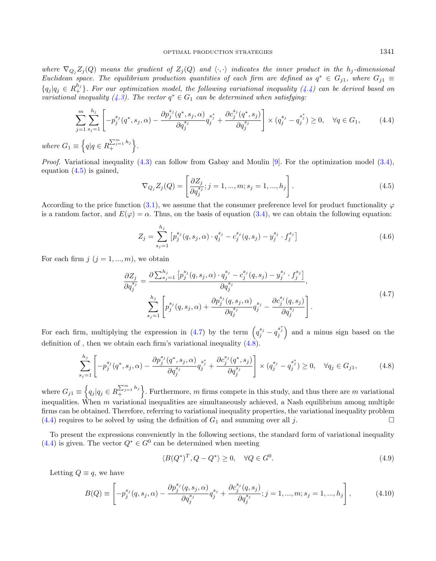where  $\nabla_{Q_j}Z_j(Q)$  means the gradient of  $Z_j(Q)$  and  $\langle\cdot,\cdot\rangle$  indicates the inner product in the  $h_j$ -dimensional Euclidean space. The equilibrium production quantities of each firm are defined as  $q^* \in G_{j1}$ , where  $G_{j1} \equiv$  ${q_j|q_j \in R_+^{h_j}}.$  For our optimization model, the following variational inequality  $(4.4)$  can be derived based on variational inequality [\(4.3\)](#page-5-2). The vector  $q^* \in G_1$  can be determined when satisfying:

<span id="page-6-1"></span>
$$
\sum_{j=1}^{m} \sum_{s_j=1}^{h_j} \left[ -p_j^{s_j} (q^*, s_j, \alpha) - \frac{\partial p_j^{s_j} (q^*, s_j, \alpha)}{\partial q_j^{s_j}} q_j^{s_j^*} + \frac{\partial c_j^{s_j} (q^*, s_j)}{\partial q_j^{s_j}} \right] \times (q_j^{s_j} - q_j^{s_j^*}) \ge 0, \quad \forall q \in G_1,
$$
\n
$$
\equiv \left\{ q | q \in R_{+}^{\sum_{j=1}^{m} h_j} \right\}.
$$
\n(4.4)

where  $G_1$  $q|q \in R$ + .

*Proof.* Variational inequality  $(4.3)$  can follow from Gabay and Moulin [\[9\]](#page-15-9). For the optimization model  $(3.4)$ , equation [\(4.5\)](#page-6-1) is gained,

<span id="page-6-2"></span><span id="page-6-0"></span>
$$
\nabla_{Q_j} Z_j(Q) = \left[ \frac{\partial Z_j}{\partial q_j^{s_j}}; j = 1, ..., m; s_j = 1, ..., h_j \right].
$$
\n(4.5)

According to the price function [\(3.1\)](#page-3-2), we assume that the consumer preference level for product functionality  $\varphi$ is a random factor, and  $E(\varphi) = \alpha$ . Thus, on the basis of equation [\(3.4\)](#page-4-1), we can obtain the following equation:

<span id="page-6-3"></span>
$$
Z_j = \sum_{s_j=1}^{h_j} \left[ p_j^{s_j}(q, s_j, \alpha) \cdot q_j^{s_j} - c_j^{s_j}(q, s_j) - y_j^{s_j} \cdot f_j^{s_j} \right]
$$
(4.6)

For each firm  $j$   $(j = 1, ..., m)$ , we obtain

<span id="page-6-4"></span>
$$
\frac{\partial Z_{j}}{\partial q_{j}^{s_{j}}} = \frac{\partial \sum_{s_{j}=1}^{h_{j}} \left[ p_{j}^{s_{j}}(q, s_{j}, \alpha) \cdot q_{j}^{s_{j}} - c_{j}^{s_{j}}(q, s_{j}) - y_{j}^{s_{j}} \cdot f_{j}^{s_{j}} \right]}{\partial q_{j}^{s_{j}}},
$$
\n
$$
\sum_{s_{j}=1}^{h_{j}} \left[ p_{j}^{s_{j}}(q, s_{j}, \alpha) + \frac{\partial p_{j}^{s_{j}}(q, s_{j}, \alpha)}{\partial q_{j}^{s_{j}}} q_{j}^{s_{j}} - \frac{\partial c_{j}^{s_{j}}(q, s_{j})}{\partial q_{j}^{s_{j}}} \right].
$$
\n(4.7)

For each firm, multiplying the expression in [\(4.7\)](#page-6-2) by the term  $(q_j^{s_j} - q_j^{s_j^*})$  and a minus sign based on the definition of , then we obtain each firm's variational inequality  $(4.8)$ .

$$
\sum_{s_j=1}^{h_j} \left[ -p_j^{s_j}(q^*, s_j, \alpha) - \frac{\partial p_j^{s_j}(q^*, s_j, \alpha)}{\partial q_j^{s_j}} q_j^{s_j^*} + \frac{\partial c_j^{s_j}(q^*, s_j)}{\partial q_j^{s_j}} \right] \times (q_j^{s_j} - q_j^{s_j^*}) \ge 0, \quad \forall q_j \in G_{j1},
$$
\n(4.8)

where  $G_{j1} \equiv \left\{ q_j | q_j \in R \right\}$  $\sum_{j=1}^{m} h_j$ . Furthermore, m firms compete in this study, and thus there are m variational inequalities. When  $m$  variational inequalities are simultaneously achieved, a Nash equilibrium among multiple firms can be obtained. Therefore, referring to variational inequality properties, the variational inequality problem  $(4.4)$  requires to be solved by using the definition of  $G_1$  and summing over all j.

To present the expressions conveniently in the following sections, the standard form of variational inequality [\(4.4\)](#page-6-0) is given. The vector  $Q^* \in G^0$  can be determined when meeting

$$
\langle B(Q^*)^T, Q - Q^* \rangle \ge 0, \quad \forall Q \in G^0.
$$
\n
$$
(4.9)
$$

Letting  $Q \equiv q$ , we have

$$
B(Q) \equiv \left[ -p_j^{s_j}(q, s_j, \alpha) - \frac{\partial p_j^{s_j}(q, s_j, \alpha)}{\partial q_j^{s_j}} q_j^{s_j} + \frac{\partial c_j^{s_j}(q, s_j)}{\partial q_j^{s_j}}; j = 1, ..., m; s_j = 1, ..., h_j \right],
$$
 (4.10)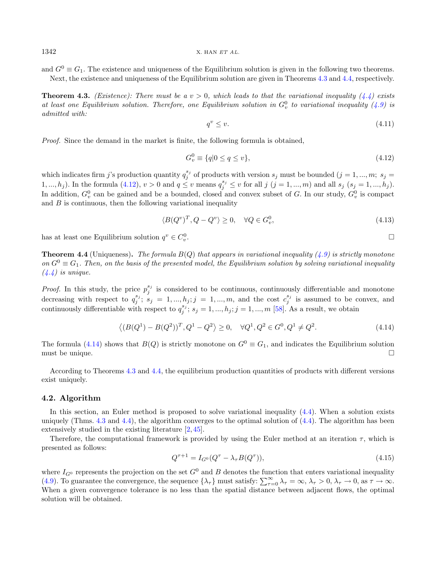$1342$  X. HAN  $ETAL$ .

and  $G^0 \equiv G_1$ . The existence and uniqueness of the Equilibrium solution is given in the following two theorems. Next, the existence and uniqueness of the Equilibrium solution are given in Theorems [4.3](#page-7-0) and [4.4,](#page-7-1) respectively.

<span id="page-7-0"></span>**Theorem 4.3.** (Existence): There must be a  $v > 0$ , which leads to that the variational inequality [\(4.4\)](#page-6-0) exists at least one Equilibrium solution. Therefore, one Equilibrium solution in  $G_v^0$  to variational inequality [\(4.9\)](#page-6-4) is admitted with:

<span id="page-7-3"></span><span id="page-7-2"></span>
$$
q^v \le v. \tag{4.11}
$$

Proof. Since the demand in the market is finite, the following formula is obtained,

$$
G_v^0 \equiv \{q \mid 0 \le q \le v\},\tag{4.12}
$$

which indicates firm j's production quantity  $q_j^{s_j}$  of products with version  $s_j$  must be bounded  $(j = 1, ..., m; s_j =$ 1, ...,  $h_j$ ). In the formula [\(4.12\)](#page-7-2),  $v > 0$  and  $q \le v$  means  $q_j^{s_j} \le v$  for all  $j$  ( $j = 1, ..., m$ ) and all  $s_j$  ( $s_j = 1, ..., h_j$ ). In addition,  $G_v^0$  can be gained and be a bounded, closed and convex subset of G. In our study,  $G_v^0$  is compact and  $B$  is continuous, then the following variational inequality

$$
\langle B(Q^v)^T, Q - Q^v \rangle \ge 0, \quad \forall Q \in G_v^0,
$$
\n
$$
(4.13)
$$

has at least one Equilibrium solution  $q^v \in C_v^0$ 

<span id="page-7-1"></span>**Theorem 4.4** (Uniqueness). The formula  $B(Q)$  that appears in variational inequality [\(4.9\)](#page-6-4) is strictly monotone on  $G^0 \equiv G_1$ . Then, on the basis of the presented model, the Equilibrium solution by solving variational inequality  $(4.4)$  is unique.

*Proof.* In this study, the price  $p_j^{s_j}$  is considered to be continuous, continuously differentiable and monotone decreasing with respect to  $q_j^{s_j}$ ;  $s_j = 1, ..., h_j; j = 1, ..., m$ , and the cost  $c_j^{s_j}$  is assumed to be convex, and continuously differentiable with respect to  $q_j^{s_j}$ ;  $s_j = 1, ..., h_j$ ;  $j = 1, ..., m$  [\[58\]](#page-17-9). As a result, we obtain

$$
\langle (B(Q^1) - B(Q^2))^T, Q^1 - Q^2 \rangle \ge 0, \quad \forall Q^1, Q^2 \in G^0, Q^1 \ne Q^2.
$$
\n(4.14)

The formula [\(4.14\)](#page-7-3) shows that  $B(Q)$  is strictly monotone on  $G^0 \equiv G_1$ , and indicates the Equilibrium solution must be unique.

According to Theorems [4.3](#page-7-0) and [4.4,](#page-7-1) the equilibrium production quantities of products with different versions exist uniquely.

#### 4.2. Algorithm

In this section, an Euler method is proposed to solve variational inequality  $(4.4)$ . When a solution exists uniquely (Thms. [4.3](#page-7-0) and [4.4\)](#page-7-1), the algorithm converges to the optimal solution of  $(4.4)$ . The algorithm has been extensively studied in the existing literature [\[2,](#page-15-10) [45\]](#page-17-18).

Therefore, the computational framework is provided by using the Euler method at an iteration  $\tau$ , which is presented as follows:

$$
Q^{\tau+1} = I_{G^0}(Q^{\tau} - \lambda_{\tau}B(Q^{\tau})), \tag{4.15}
$$

where  $I_{G^0}$  represents the projection on the set  $G^0$  and B denotes the function that enters variational inequality [\(4.9\)](#page-6-4). To guarantee the convergence, the sequence  $\{\lambda_{\tau}\}\$  must satisfy:  $\sum_{\tau=0}^{\infty}\lambda_{\tau}=\infty$ ,  $\lambda_{\tau}>0$ ,  $\lambda_{\tau}\to 0$ , as  $\tau\to\infty$ . When a given convergence tolerance is no less than the spatial distance between adjacent flows, the optimal solution will be obtained.

.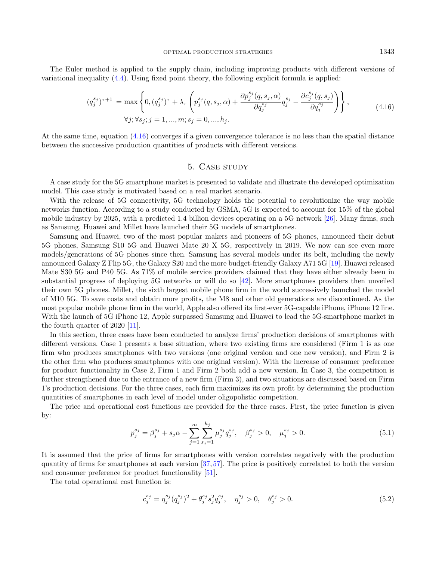The Euler method is applied to the supply chain, including improving products with different versions of variational inequality [\(4.4\)](#page-6-0). Using fixed point theory, the following explicit formula is applied:

$$
(q_j^{s_j})^{\tau+1} = \max \left\{ 0, (q_j^{s_j})^{\tau} + \lambda_{\tau} \left( p_j^{s_j}(q, s_j, \alpha) + \frac{\partial p_j^{s_j}(q, s_j, \alpha)}{\partial q_j^{s_j}} q_j^{s_j} - \frac{\partial c_j^{s_j}(q, s_j)}{\partial q_j^{s_j}} \right) \right\},
$$
  
\n
$$
\forall j; \forall s_j; j = 1, ..., m; s_j = 0, ..., h_j.
$$
\n(4.16)

At the same time, equation [\(4.16\)](#page-8-1) converges if a given convergence tolerance is no less than the spatial distance between the successive production quantities of products with different versions.

## <span id="page-8-1"></span>5. CASE STUDY

<span id="page-8-0"></span>A case study for the 5G smartphone market is presented to validate and illustrate the developed optimization model. This case study is motivated based on a real market scenario.

With the release of 5G connectivity, 5G technology holds the potential to revolutionize the way mobile networks function. According to a study conducted by GSMA, 5G is expected to account for 15% of the global mobile industry by 2025, with a predicted 1.4 billion devices operating on a 5G network [\[26\]](#page-16-27). Many firms, such as Samsung, Huawei and Millet have launched their 5G models of smartphones.

Samsung and Huawei, two of the most popular makers and pioneers of 5G phones, announced their debut 5G phones, Samsung S10 5G and Huawei Mate 20 X 5G, respectively in 2019. We now can see even more models/generations of 5G phones since then. Samsung has several models under its belt, including the newly announced Galaxy Z Flip 5G, the Galaxy S20 and the more budget-friendly Galaxy A71 5G [\[19\]](#page-16-28). Huawei released Mate S30 5G and P40 5G. As 71% of mobile service providers claimed that they have either already been in substantial progress of deploying 5G networks or will do so [\[42\]](#page-16-29). More smartphones providers then unveiled their own 5G phones. Millet, the sixth largest mobile phone firm in the world successively launched the model of M10 5G. To save costs and obtain more profits, the M8 and other old generations are discontinued. As the most popular mobile phone firm in the world, Apple also offered its first-ever 5G-capable iPhone, iPhone 12 line. With the launch of 5G iPhone 12, Apple surpassed Samsung and Huawei to lead the 5G-smartphone market in the fourth quarter of 2020 [\[11\]](#page-15-11).

In this section, three cases have been conducted to analyze firms' production decisions of smartphones with different versions. Case 1 presents a base situation, where two existing firms are considered (Firm 1 is as one firm who produces smartphones with two versions (one original version and one new version), and Firm 2 is the other firm who produces smartphones with one original version). With the increase of consumer preference for product functionality in Case 2, Firm 1 and Firm 2 both add a new version. In Case 3, the competition is further strengthened due to the entrance of a new firm (Firm 3), and two situations are discussed based on Firm 1's production decisions. For the three cases, each firm maximizes its own profit by determining the production quantities of smartphones in each level of model under oligopolistic competition.

The price and operational cost functions are provided for the three cases. First, the price function is given by:

$$
p_j^{s_j} = \beta_j^{s_j} + s_j \alpha - \sum_{j=1}^m \sum_{s_j=1}^{h_j} \mu_j^{s_j} q_j^{s_j}, \quad \beta_j^{s_j} > 0, \quad \mu_j^{s_j} > 0. \tag{5.1}
$$

It is assumed that the price of firms for smartphones with version correlates negatively with the production quantity of firms for smartphones at each version [\[37,](#page-16-21)[57\]](#page-17-8). The price is positively correlated to both the version and consumer preference for product functionality [\[51\]](#page-17-19).

The total operational cost function is:

$$
c_j^{s_j} = \eta_j^{s_j} (q_j^{s_j})^2 + \theta_j^{s_j} s_j^2 q_j^{s_j}, \quad \eta_j^{s_j} > 0, \quad \theta_j^{s_j} > 0.
$$
 (5.2)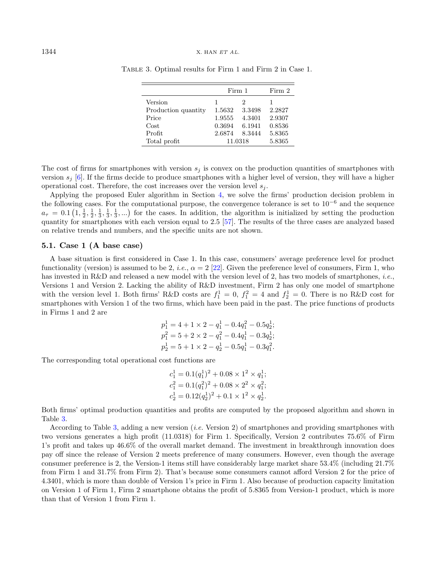|                     | Firm 1  | Firm 2        |        |
|---------------------|---------|---------------|--------|
| Version             |         | $\mathcal{D}$ |        |
| Production quantity | 1.5632  | 3.3498        | 2.2827 |
| Price               | 1.9555  | 4.3401        | 2.9307 |
| Cost                | 0.3694  | 6.1941        | 0.8536 |
| Profit              | 2.6874  | 8.3444        | 5.8365 |
| Total profit        | 11.0318 |               | 5.8365 |

<span id="page-9-0"></span>Table 3. Optimal results for Firm 1 and Firm 2 in Case 1.

The cost of firms for smartphones with version  $s_j$  is convex on the production quantities of smartphones with version  $s_j$  [\[6\]](#page-15-12). If the firms decide to produce smartphones with a higher level of version, they will have a higher operational cost. Therefore, the cost increases over the version level  $s_i$ .

Applying the proposed Euler algorithm in Section [4,](#page-5-0) we solve the firms' production decision problem in the following cases. For the computational purpose, the convergence tolerance is set to 10<sup>−</sup><sup>6</sup> and the sequence  $a_{\tau} = 0.1\left(1, \frac{1}{2}, \frac{1}{2}, \frac{1}{3}, \frac{1}{3}, \ldots\right)$  for the cases. In addition, the algorithm is initialized by setting the production quantity for smartphones with each version equal to 2.5 [\[57\]](#page-17-8). The results of the three cases are analyzed based on relative trends and numbers, and the specific units are not shown.

## 5.1. Case 1 (A base case)

A base situation is first considered in Case 1. In this case, consumers' average preference level for product functionality (version) is assumed to be 2, *i.e.*,  $\alpha = 2$  [\[22\]](#page-16-22). Given the preference level of consumers, Firm 1, who has invested in R&D and released a new model with the version level of 2, has two models of smartphones, *i.e.*, Versions 1 and Version 2. Lacking the ability of R&D investment, Firm 2 has only one model of smartphone with the version level 1. Both firms' R&D costs are  $f_1^1 = 0$ ,  $f_1^2 = 4$  and  $f_2^1 = 0$ . There is no R&D cost for smartphones with Version 1 of the two firms, which have been paid in the past. The price functions of products in Firms 1 and 2 are

$$
\begin{aligned} p_1^1 &= 4 + 1 \times 2 - q_1^1 - 0.4 q_1^2 - 0.5 q_2^1; \\ p_1^2 &= 5 + 2 \times 2 - q_1^2 - 0.4 q_1^1 - 0.3 q_2^1; \\ p_2^1 &= 5 + 1 \times 2 - q_2^1 - 0.5 q_1^1 - 0.3 q_1^2. \end{aligned}
$$

The corresponding total operational cost functions are

$$
c_1^1 = 0.1(q_1^1)^2 + 0.08 \times 1^2 \times q_1^1;
$$
  
\n
$$
c_1^2 = 0.1(q_1^2)^2 + 0.08 \times 2^2 \times q_1^2;
$$
  
\n
$$
c_2^1 = 0.12(q_2^1)^2 + 0.1 \times 1^2 \times q_2^1.
$$

Both firms' optimal production quantities and profits are computed by the proposed algorithm and shown in Table [3.](#page-9-0)

According to Table [3,](#page-9-0) adding a new version (i.e. Version 2) of smartphones and providing smartphones with two versions generates a high profit (11.0318) for Firm 1. Specifically, Version 2 contributes 75.6% of Firm 1's profit and takes up 46.6% of the overall market demand. The investment in breakthrough innovation does pay off since the release of Version 2 meets preference of many consumers. However, even though the average consumer preference is 2, the Version-1 items still have considerably large market share 53.4% (including 21.7% from Firm 1 and 31.7% from Firm 2). That's because some consumers cannot afford Version 2 for the price of 4.3401, which is more than double of Version 1's price in Firm 1. Also because of production capacity limitation on Version 1 of Firm 1, Firm 2 smartphone obtains the profit of 5.8365 from Version-1 product, which is more than that of Version 1 from Firm 1.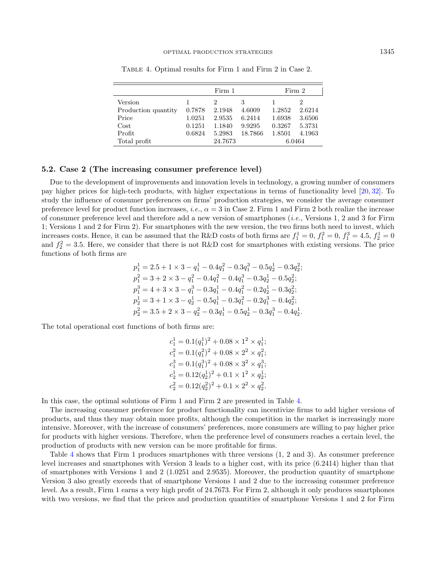|                     | Firm 1  |               |         | Firm 2 |        |  |
|---------------------|---------|---------------|---------|--------|--------|--|
| Version             |         | $\mathcal{D}$ | 3       |        |        |  |
| Production quantity | 0.7878  | 2.1948        | 4.6009  | 1.2852 | 2.6214 |  |
| Price               | 1.0251  | 2.9535        | 6.2414  | 1.6938 | 3.6506 |  |
| Cost                | 0.1251  | 1.1840        | 9.9295  | 0.3267 | 5.3731 |  |
| Profit              | 0.6824  | 5.2983        | 18.7866 | 1.8501 | 4.1963 |  |
| Total profit        | 24.7673 |               | 6.0464  |        |        |  |

<span id="page-10-0"></span>Table 4. Optimal results for Firm 1 and Firm 2 in Case 2.

#### 5.2. Case 2 (The increasing consumer preference level)

Due to the development of improvements and innovation levels in technology, a growing number of consumers pay higher prices for high-tech products, with higher expectations in terms of functionality level [\[20,](#page-16-0) [32\]](#page-16-1). To study the influence of consumer preferences on firms' production strategies, we consider the average consumer preference level for product function increases, *i.e.*,  $\alpha = 3$  in Case 2. Firm 1 and Firm 2 both realize the increase of consumer preference level and therefore add a new version of smartphones (i.e., Versions 1, 2 and 3 for Firm 1; Versions 1 and 2 for Firm 2). For smartphones with the new version, the two firms both need to invest, which increases costs. Hence, it can be assumed that the R&D costs of both firms are  $f_1^1 = 0$ ,  $f_1^2 = 0$ ,  $f_1^3 = 4.5$ ,  $f_2^1 = 0$ and  $f_2^2 = 3.5$ . Here, we consider that there is not R&D cost for smartphones with existing versions. The price functions of both firms are

$$
\begin{aligned} p_1^1&=2.5+1\times 3-q_1^1-0.4q_1^2-0.3q_1^3-0.5q_2^1-0.3q_2^2;\\ p_1^2&=3+2\times 3-q_1^2-0.4q_1^2-0.4q_1^3-0.3q_2^1-0.5q_2^2;\\ p_1^3&=4+3\times 3-q_1^3-0.3q_1^1-0.4q_1^2-0.2q_2^1-0.3q_2^2;\\ p_2^1&=3+1\times 3-q_2^1-0.5q_1^1-0.3q_1^2-0.2q_1^3-0.4q_2^2;\\ p_2^2&=3.5+2\times 3-q_2^2-0.3q_1^1-0.5q_2^1-0.3q_1^3-0.4q_2^1. \end{aligned}
$$

The total operational cost functions of both firms are:

$$
c_1^1 = 0.1(q_1^1)^2 + 0.08 \times 1^2 \times q_1^1;
$$
  
\n
$$
c_1^2 = 0.1(q_1^2)^2 + 0.08 \times 2^2 \times q_1^2;
$$
  
\n
$$
c_1^3 = 0.1(q_1^3)^2 + 0.08 \times 3^2 \times q_1^3;
$$
  
\n
$$
c_2^1 = 0.12(q_2^1)^2 + 0.1 \times 1^2 \times q_2^1;
$$
  
\n
$$
c_2^2 = 0.12(q_2^2)^2 + 0.1 \times 2^2 \times q_2^2.
$$

In this case, the optimal solutions of Firm 1 and Firm 2 are presented in Table [4.](#page-10-0)

The increasing consumer preference for product functionality can incentivize firms to add higher versions of products, and thus they may obtain more profits, although the competition in the market is increasingly more intensive. Moreover, with the increase of consumers' preferences, more consumers are willing to pay higher price for products with higher versions. Therefore, when the preference level of consumers reaches a certain level, the production of products with new version can be more profitable for firms.

Table [4](#page-10-0) shows that Firm 1 produces smartphones with three versions (1, 2 and 3). As consumer preference level increases and smartphones with Version 3 leads to a higher cost, with its price (6.2414) higher than that of smartphones with Versions 1 and 2 (1.0251 and 2.9535). Moreover, the production quantity of smartphone Version 3 also greatly exceeds that of smartphone Versions 1 and 2 due to the increasing consumer preference level. As a result, Firm 1 earns a very high profit of 24.7673. For Firm 2, although it only produces smartphones with two versions, we find that the prices and production quantities of smartphone Versions 1 and 2 for Firm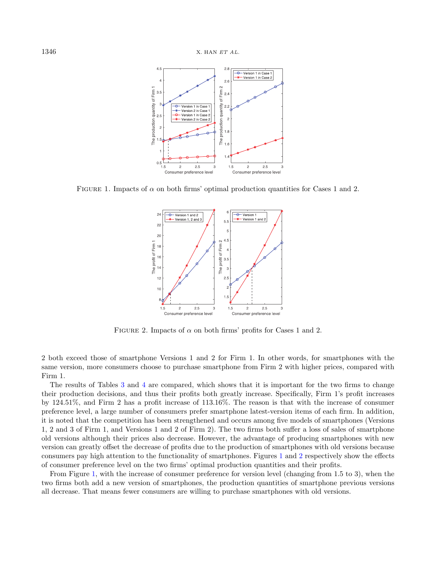<span id="page-11-0"></span>

FIGURE 1. Impacts of  $\alpha$  on both firms' optimal production quantities for Cases 1 and 2.

<span id="page-11-1"></span>

FIGURE 2. Impacts of  $\alpha$  on both firms' profits for Cases 1 and 2.

2 both exceed those of smartphone Versions 1 and 2 for Firm 1. In other words, for smartphones with the same version, more consumers choose to purchase smartphone from Firm 2 with higher prices, compared with Firm 1.

The results of Tables [3](#page-9-0) and [4](#page-10-0) are compared, which shows that it is important for the two firms to change their production decisions, and thus their profits both greatly increase. Specifically, Firm 1's profit increases by 124.51%, and Firm 2 has a profit increase of 113.16%. The reason is that with the increase of consumer preference level, a large number of consumers prefer smartphone latest-version items of each firm. In addition, it is noted that the competition has been strengthened and occurs among five models of smartphones (Versions 1, 2 and 3 of Firm 1, and Versions 1 and 2 of Firm 2). The two firms both suffer a loss of sales of smartphone old versions although their prices also decrease. However, the advantage of producing smartphones with new version can greatly offset the decrease of profits due to the production of smartphones with old versions because consumers pay high attention to the functionality of smartphones. Figures [1](#page-11-0) and [2](#page-11-1) respectively show the effects of consumer preference level on the two firms' optimal production quantities and their profits.

From Figure [1,](#page-11-0) with the increase of consumer preference for version level (changing from 1.5 to 3), when the two firms both add a new version of smartphones, the production quantities of smartphone previous versions all decrease. That means fewer consumers are willing to purchase smartphones with old versions.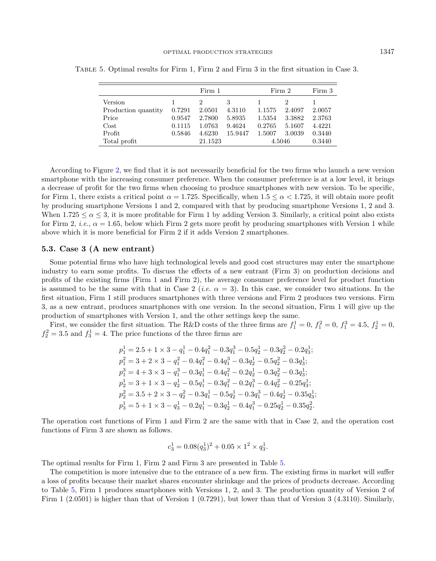|                     | Firm 1 |         |         | Firm 2 | Firm 3 |        |
|---------------------|--------|---------|---------|--------|--------|--------|
| Version             |        |         | 3       |        |        |        |
| Production quantity | 0.7291 | 2.0501  | 4.3110  | 1.1575 | 2.4097 | 2.0057 |
| Price               | 0.9547 | 2.7800  | 5.8935  | 1.5354 | 3.3882 | 2.3763 |
| $\cos t$            | 0.1115 | 1.0763  | 9.4624  | 0.2765 | 5.1607 | 4.4221 |
| Profit              | 0.5846 | 4.6230  | 15.9447 | 1.5007 | 3.0039 | 0.3440 |
| Total profit        |        | 21.1523 |         | 4.5046 |        | 0.3440 |

<span id="page-12-0"></span>Table 5. Optimal results for Firm 1, Firm 2 and Firm 3 in the first situation in Case 3.

According to Figure [2,](#page-11-1) we find that it is not necessarily beneficial for the two firms who launch a new version smartphone with the increasing consumer preference. When the consumer preference is at a low level, it brings a decrease of profit for the two firms when choosing to produce smartphones with new version. To be specific, for Firm 1, there exists a critical point  $\alpha = 1.725$ . Specifically, when  $1.5 \leq \alpha < 1.725$ , it will obtain more profit by producing smartphone Versions 1 and 2, compared with that by producing smartphone Versions 1, 2 and 3. When  $1.725 \le \alpha \le 3$ , it is more profitable for Firm 1 by adding Version 3. Similarly, a critical point also exists for Firm 2, *i.e.*,  $\alpha = 1.65$ , below which Firm 2 gets more profit by producing smartphones with Version 1 while above which it is more beneficial for Firm 2 if it adds Version 2 smartphones.

### 5.3. Case 3 (A new entrant)

 $=$ 

Some potential firms who have high technological levels and good cost structures may enter the smartphone industry to earn some profits. To discuss the effects of a new entrant (Firm 3) on production decisions and profits of the existing firms (Firm 1 and Firm 2), the average consumer preference level for product function is assumed to be the same with that in Case 2 (*i.e.*  $\alpha = 3$ ). In this case, we consider two situations. In the first situation, Firm 1 still produces smartphones with three versions and Firm 2 produces two versions. Firm 3, as a new entrant, produces smartphones with one version. In the second situation, Firm 1 will give up the production of smartphones with Version 1, and the other settings keep the same.

First, we consider the first situation. The R&D costs of the three firms are  $f_1^1 = 0$ ,  $f_1^2 = 0$ ,  $f_1^3 = 4.5$ ,  $f_2^1 = 0$ ,  $f_2^2 = 3.5$  and  $f_3^1 = 4$ . The price functions of the three firms are

$$
\begin{aligned} p_1^1&=2.5+1\times 3-q_1^1-0.4q_1^2-0.3q_1^3-0.5q_2^1-0.3q_2^2-0.2q_3^1;\\ p_1^2&=3+2\times 3-q_1^2-0.4q_1^2-0.4q_1^3-0.3q_2^1-0.5q_2^2-0.3q_3^1;\\ p_1^3&=4+3\times 3-q_1^3-0.3q_1^1-0.4q_1^2-0.2q_2^1-0.3q_2^2-0.3q_3^1;\\ p_2^1&=3+1\times 3-q_2^1-0.5q_1^1-0.3q_1^2-0.2q_1^3-0.4q_2^2-0.25q_3^1;\\ p_2^2&=3.5+2\times 3-q_2^2-0.3q_1^1-0.5q_2^1-0.3q_1^3-0.4q_2^1-0.35q_3^1;\\ p_3^1&=5+1\times 3-q_3^1-0.2q_1^1-0.3q_2^1-0.4q_1^3-0.25q_2^1-0.35q_2^2. \end{aligned}
$$

The operation cost functions of Firm 1 and Firm 2 are the same with that in Case 2, and the operation cost functions of Firm 3 are shown as follows.

$$
c_3^1 = 0.08(q_3^1)^2 + 0.05 \times 1^2 \times q_3^1.
$$

The optimal results for Firm 1, Firm 2 and Firm 3 are presented in Table [5.](#page-12-0)

The competition is more intensive due to the entrance of a new firm. The existing firms in market will suffer a loss of profits because their market shares encounter shrinkage and the prices of products decrease. According to Table [5,](#page-12-0) Firm 1 produces smartphones with Versions 1, 2, and 3. The production quantity of Version 2 of Firm 1 (2.0501) is higher than that of Version 1 (0.7291), but lower than that of Version 3 (4.3110). Similarly,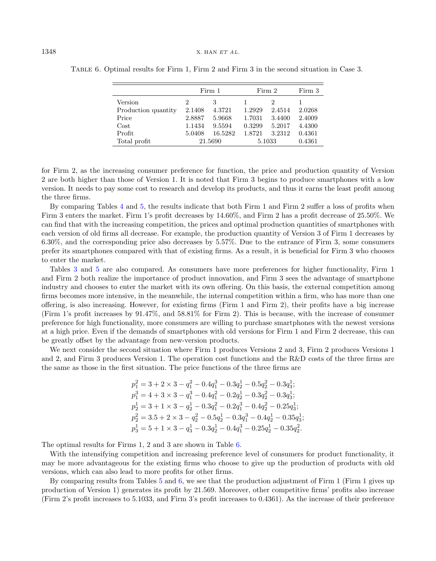|                     | Firm 1        |         | Firm 2 |           | Firm 3 |
|---------------------|---------------|---------|--------|-----------|--------|
| Version             | $\mathcal{D}$ | З       |        | $\dot{2}$ |        |
| Production quantity | 2.1408        | 4.3721  | 1.2929 | 2.4514    | 2.0268 |
| Price               | 2.8887        | 5.9668  | 1.7031 | 3.4400    | 2.4009 |
| Cost                | 1.1434        | 9.5594  | 0.3299 | 5.2017    | 4.4300 |
| Profit              | 5.0408        | 16.5282 | 1.8721 | 3.2312    | 0.4361 |
| Total profit        | 21.5690       |         | 5.1033 |           | 0.4361 |

<span id="page-13-0"></span>Table 6. Optimal results for Firm 1, Firm 2 and Firm 3 in the second situation in Case 3.

for Firm 2, as the increasing consumer preference for function, the price and production quantity of Version 2 are both higher than those of Version 1. It is noted that Firm 3 begins to produce smartphones with a low version. It needs to pay some cost to research and develop its products, and thus it earns the least profit among the three firms.

By comparing Tables [4](#page-10-0) and [5,](#page-12-0) the results indicate that both Firm 1 and Firm 2 suffer a loss of profits when Firm 3 enters the market. Firm 1's profit decreases by 14.60%, and Firm 2 has a profit decrease of 25.50%. We can find that with the increasing competition, the prices and optimal production quantities of smartphones with each version of old firms all decrease. For example, the production quantity of Version 3 of Firm 1 decreases by 6.30%, and the corresponding price also decreases by 5.57%. Due to the entrance of Firm 3, some consumers prefer its smartphones compared with that of existing firms. As a result, it is beneficial for Firm 3 who chooses to enter the market.

Tables [3](#page-9-0) and [5](#page-12-0) are also compared. As consumers have more preferences for higher functionality, Firm 1 and Firm 2 both realize the importance of product innovation, and Firm 3 sees the advantage of smartphone industry and chooses to enter the market with its own offering. On this basis, the external competition among firms becomes more intensive, in the meanwhile, the internal competition within a firm, who has more than one offering, is also increasing. However, for existing firms (Firm 1 and Firm 2), their profits have a big increase (Firm 1's profit increases by 91.47%, and 58.81% for Firm 2). This is because, with the increase of consumer preference for high functionality, more consumers are willing to purchase smartphones with the newest versions at a high price. Even if the demands of smartphones with old versions for Firm 1 and Firm 2 decrease, this can be greatly offset by the advantage from new-version products.

We next consider the second situation where Firm 1 produces Versions 2 and 3, Firm 2 produces Versions 1 and 2, and Firm 3 produces Version 1. The operation cost functions and the R&D costs of the three firms are the same as those in the first situation. The price functions of the three firms are

$$
\begin{aligned} p_1^2 &= 3 + 2 \times 3 - q_1^2 - 0.4 q_1^3 - 0.3 q_2^1 - 0.5 q_2^2 - 0.3 q_3^1; \\ p_1^3 &= 4 + 3 \times 3 - q_1^3 - 0.4 q_1^2 - 0.2 q_2^1 - 0.3 q_2^2 - 0.3 q_3^1; \\ p_2^1 &= 3 + 1 \times 3 - q_2^1 - 0.3 q_1^2 - 0.2 q_1^3 - 0.4 q_2^2 - 0.25 q_3^1; \\ p_2^2 &= 3.5 + 2 \times 3 - q_2^2 - 0.5 q_2^1 - 0.3 q_1^3 - 0.4 q_2^1 - 0.35 q_3^1; \\ p_3^1 &= 5 + 1 \times 3 - q_3^1 - 0.3 q_2^1 - 0.4 q_1^3 - 0.25 q_2^1 - 0.35 q_2^2. \end{aligned}
$$

The optimal results for Firms 1, 2 and 3 are shown in Table [6.](#page-13-0)

With the intensifying competition and increasing preference level of consumers for product functionality, it may be more advantageous for the existing firms who choose to give up the production of products with old versions, which can also lead to more profits for other firms.

By comparing results from Tables [5](#page-12-0) and [6,](#page-13-0) we see that the production adjustment of Firm 1 (Firm 1 gives up production of Version 1) generates its profit by 21.569. Moreover, other competitive firms' profits also increase (Firm 2's profit increases to 5.1033, and Firm 3's profit increases to 0.4361). As the increase of their preference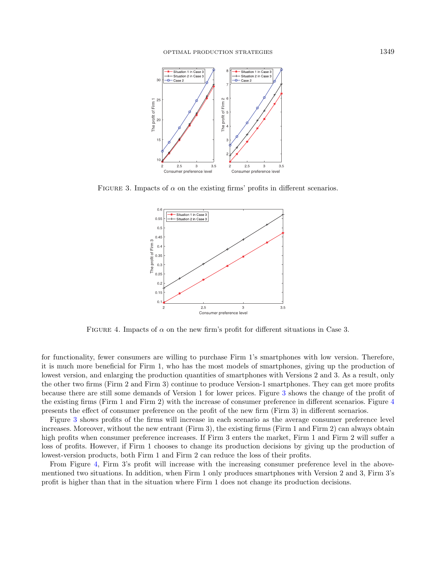<span id="page-14-0"></span>

FIGURE 3. Impacts of  $\alpha$  on the existing firms' profits in different scenarios.

<span id="page-14-1"></span>

FIGURE 4. Impacts of  $\alpha$  on the new firm's profit for different situations in Case 3.

for functionality, fewer consumers are willing to purchase Firm 1's smartphones with low version. Therefore, it is much more beneficial for Firm 1, who has the most models of smartphones, giving up the production of lowest version, and enlarging the production quantities of smartphones with Versions 2 and 3. As a result, only the other two firms (Firm 2 and Firm 3) continue to produce Version-1 smartphones. They can get more profits because there are still some demands of Version 1 for lower prices. Figure [3](#page-14-0) shows the change of the profit of the existing firms (Firm 1 and Firm 2) with the increase of consumer preference in different scenarios. Figure [4](#page-14-1) presents the effect of consumer preference on the profit of the new firm (Firm 3) in different scenarios.

Figure [3](#page-14-0) shows profits of the firms will increase in each scenario as the average consumer preference level increases. Moreover, without the new entrant (Firm 3), the existing firms (Firm 1 and Firm 2) can always obtain high profits when consumer preference increases. If Firm 3 enters the market, Firm 1 and Firm 2 will suffer a loss of profits. However, if Firm 1 chooses to change its production decisions by giving up the production of lowest-version products, both Firm 1 and Firm 2 can reduce the loss of their profits.

From Figure [4,](#page-14-1) Firm 3's profit will increase with the increasing consumer preference level in the abovementioned two situations. In addition, when Firm 1 only produces smartphones with Version 2 and 3, Firm 3's profit is higher than that in the situation where Firm 1 does not change its production decisions.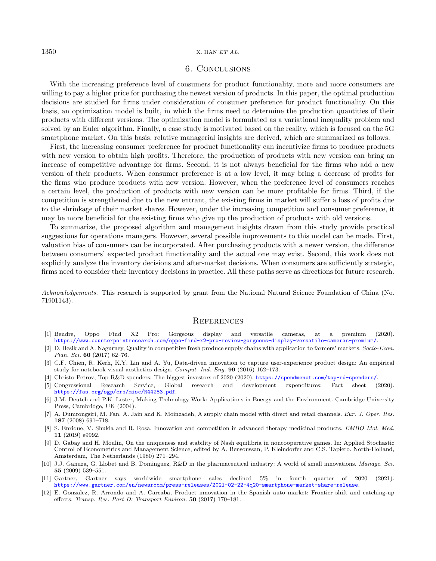#### <span id="page-15-3"></span> $1350$  X. HAN ET AL.

## 6. Conclusions

With the increasing preference level of consumers for product functionality, more and more consumers are willing to pay a higher price for purchasing the newest version of products. In this paper, the optimal production decisions are studied for firms under consideration of consumer preference for product functionality. On this basis, an optimization model is built, in which the firms need to determine the production quantities of their products with different versions. The optimization model is formulated as a variational inequality problem and solved by an Euler algorithm. Finally, a case study is motivated based on the reality, which is focused on the 5G smartphone market. On this basis, relative managerial insights are derived, which are summarized as follows.

First, the increasing consumer preference for product functionality can incentivize firms to produce products with new version to obtain high profits. Therefore, the production of products with new version can bring an increase of competitive advantage for firms. Second, it is not always beneficial for the firms who add a new version of their products. When consumer preference is at a low level, it may bring a decrease of profits for the firms who produce products with new version. However, when the preference level of consumers reaches a certain level, the production of products with new version can be more profitable for firms. Third, if the competition is strengthened due to the new entrant, the existing firms in market will suffer a loss of profits due to the shrinkage of their market shares. However, under the increasing competition and consumer preference, it may be more beneficial for the existing firms who give up the production of products with old versions.

<span id="page-15-10"></span><span id="page-15-7"></span><span id="page-15-0"></span>To summarize, the proposed algorithm and management insights drawn from this study provide practical suggestions for operations managers. However, several possible improvements to this model can be made. First, valuation bias of consumers can be incorporated. After purchasing products with a newer version, the difference between consumers' expected product functionality and the actual one may exist. Second, this work does not explicitly analyze the inventory decisions and after-market decisions. When consumers are sufficiently strategic, firms need to consider their inventory decisions in practice. All these paths serve as directions for future research.

<span id="page-15-12"></span><span id="page-15-8"></span><span id="page-15-2"></span><span id="page-15-1"></span>Acknowledgements. This research is supported by grant from the National Natural Science Foundation of China (No. 71901143).

#### **REFERENCES**

- <span id="page-15-9"></span><span id="page-15-5"></span>[1] Bendre, Oppo Find X2 Pro: Gorgeous display and versatile cameras, at a premium (2020). <https://www.counterpointresearch.com/oppo-find-x2-pro-review-gorgeous-display-versatile-cameras-premium/>.
- [2] D. Besik and A. Nagurney, Quality in competitive fresh produce supply chains with application to farmers' markets. Socio-Econ. Plan. Sci. 60 (2017) 62–76.
- <span id="page-15-6"></span>[3] C.F. Chien, R. Kerh, K.Y. Lin and A. Yu, Data-driven innovation to capture user-experience product design: An empirical study for notebook visual aesthetics design. Comput. Ind. Eng. 99 (2016) 162–173.
- <span id="page-15-11"></span>[4] Christo Petrov, Top R&D spenders: The biggest investors of 2020 (2020). <https://spendmenot.com/top-rd-spenders/>.
- <span id="page-15-4"></span>[5] Congressional Research Service, Global research and development expenditures: Fact sheet (2020). <https://fas.org/sgp/crs/misc/R44283.pdf>.
- [6] J.M. Deutch and P.K. Lester, Making Technology Work: Applications in Energy and the Environment. Cambridge University Press, Cambridge, UK (2004).
- [7] A. Dumrongsiri, M. Fan, A. Jain and K. Moinzadeh, A supply chain model with direct and retail channels. Eur. J. Oper. Res. 187 (2008) 691–718.
- [8] S. Enrique, V. Shukla and R. Rosa, Innovation and competition in advanced therapy medicinal products. EMBO Mol. Med. 11 (2019) e9992.
- [9] D. Gabay and H. Moulin, On the uniqueness and stability of Nash equilibria in noncooperative games. In: Applied Stochastic Control of Econometrics and Management Science, edited by A. Bensoussan, P. Kleindorfer and C.S. Tapiero. North-Holland, Amsterdam, The Netherlands (1980) 271–294.
- [10] J.J. Ganuza, G. Llobet and B. Dominguez, R&D in the pharmaceutical industry: A world of small innovations. Manage. Sci. 55 (2009) 539–551.
- [11] Gartner, Gartner says worldwide smartphone sales declined 5% in fourth quarter of 2020 (2021). <https://www.gartner.com/en/newsroom/press-releases/2021-02-22-4q20-smartphone-market-share-release>.
- [12] E. Gonzalez, R. Arrondo and A. Carcaba, Product innovation in the Spanish auto market: Frontier shift and catching-up effects. Transp. Res. Part D: Transport Environ. 50 (2017) 170–181.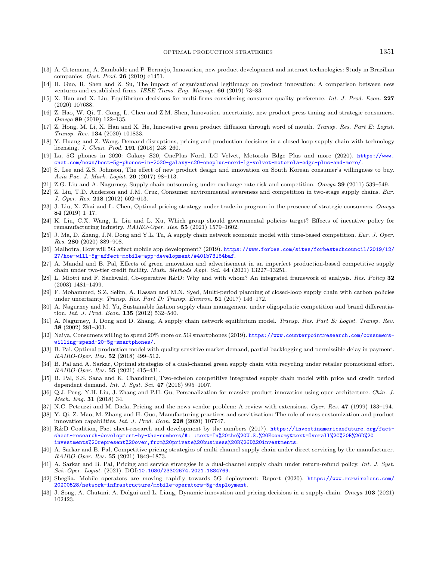- <span id="page-16-28"></span><span id="page-16-20"></span><span id="page-16-17"></span><span id="page-16-12"></span><span id="page-16-11"></span><span id="page-16-10"></span><span id="page-16-3"></span><span id="page-16-0"></span>[13] A. Grtzmann, A. Zambalde and P. Bermejo, Innovation, new product development and internet technologies: Study in Brazilian companies. Gest. Prod. 26 (2019) e1451.
- <span id="page-16-22"></span><span id="page-16-18"></span>[14] H. Guo, R. Shen and Z. Su, The impact of organizational legitimacy on product innovation: A comparison between new ventures and established firms. IEEE Trans. Eng. Manage. 66 (2019) 73–83.
- <span id="page-16-5"></span>[15] X. Han and X. Liu, Equilibrium decisions for multi-firms considering consumer quality preference. Int. J. Prod. Econ. 227 (2020) 107688.
- <span id="page-16-14"></span>[16] Z. Hao, W. Qi, T. Gong, L. Chen and Z.M. Shen, Innovation uncertainty, new product press timing and strategic consumers. Omega 89 (2019) 122–135.
- <span id="page-16-19"></span>[17] Z. Hong, M. Li, X. Han and X. He, Innovative green product diffusion through word of mouth. Transp. Res. Part E: Logist. Transp. Rev. 134 (2020) 101833.
- <span id="page-16-27"></span>[18] Y. Huang and Z. Wang, Demand disruptions, pricing and production decisions in a closed-loop supply chain with technology licensing. J. Clean. Prod. 191 (2018) 248–260.
- <span id="page-16-13"></span>[19] La, 5G phones in 2020: Galaxy S20, OnePlus Nord, LG Velvet, Motorola Edge Plus and more (2020). [https://www.](https://www.cnet.com/news/best-5g-phones-in-2020-galaxy-s20-oneplus-nord-lg-velvet-motorola-edge-plus-and-more/) [cnet.com/news/best-5g-phones-in-2020-galaxy-s20-oneplus-nord-lg-velvet-motorola-edge-plus-and-more/](https://www.cnet.com/news/best-5g-phones-in-2020-galaxy-s20-oneplus-nord-lg-velvet-motorola-edge-plus-and-more/).
- <span id="page-16-2"></span>[20] S. Lee and Z.S. Johnson, The effect of new product design and innovation on South Korean consumer's willingness to buy. Asia Pac. J. Mark. Logist. 29 (2017) 98–113.
- <span id="page-16-24"></span>[21] Z.G. Liu and A. Nagurney, Supply chain outsourcing under exchange rate risk and competition. Omega 39 (2011) 539–549.
- [22] Z. Liu, T.D. Anderson and J.M. Cruz, Consumer environmental awareness and competition in two-stage supply chains. Eur. J. Oper. Res. 218 (2012) 602–613.
- <span id="page-16-26"></span>[23] J. Liu, X. Zhai and L. Chen, Optimal pricing strategy under trade-in program in the presence of strategic consumers. Omega 84 (2019) 1–17.
- <span id="page-16-25"></span>[24] K. Liu, C.X. Wang, L. Liu and L. Xu, Which group should governmental policies target? Effects of incentive policy for remanufacturing industry. RAIRO-Oper. Res. 55 (2021) 1579–1602.
- <span id="page-16-1"></span>[25] J. Ma, D. Zhang, J.N. Dong and Y.L. Tu, A supply chain network economic model with time-based competition. Eur. J. Oper. Res. 280 (2020) 889–908.
- <span id="page-16-23"></span>[26] Malhotra, How will 5G affect mobile app development? (2019). [https://www.forbes.com/sites/forbestechcouncil/2019/12/](https://www.forbes.com/sites/forbestechcouncil/2019/12/27/how-will-5g-affect-mobile-app-development/#401b73164baf) [27/how-will-5g-affect-mobile-app-development/#401b73164baf](https://www.forbes.com/sites/forbestechcouncil/2019/12/27/how-will-5g-affect-mobile-app-development/#401b73164baf).
- <span id="page-16-7"></span>[27] A. Mandal and B. Pal, Effects of green innovation and advertisement in an imperfect production-based competitive supply chain under two-tier credit facility. Math. Methods Appl. Sci. 44 (2021) 13227–13251.
- <span id="page-16-15"></span>[28] L. Miotti and F. Sachwald, Co-operative R&D: Why and with whom? An integrated framework of analysis. Res. Policy 32 (2003) 1481–1499.
- <span id="page-16-9"></span>[29] F. Mohammed, S.Z. Selim, A. Hassan and M.N. Syed, Multi-period planning of closed-loop supply chain with carbon policies under uncertainty. Transp. Res. Part D: Transp. Environ. 51 (2017) 146-172.
- <span id="page-16-21"></span><span id="page-16-6"></span>[30] A. Nagurney and M. Yu, Sustainable fashion supply chain management under oligopolistic competition and brand differentiation. *Int. J. Prod. Econ.* **135** (2012) 532-540.
- <span id="page-16-4"></span>[31] A. Nagurney, J. Dong and D. Zhang, A supply chain network equilibrium model. Transp. Res. Part E: Logist. Transp. Rev. 38 (2002) 281–303.
- [32] Naiya, Consumers willing to spend 20% more on 5G smartphones (2019). [https://www.counterpointresearch.com/consumers](https://www.counterpointresearch.com/consumers-willing-spend-20-5g-smartphones/)[willing-spend-20-5g-smartphones/](https://www.counterpointresearch.com/consumers-willing-spend-20-5g-smartphones/).
- [33] B. Pal, Optimal production model with quality sensitive market demand, partial backlogging and permissible delay in payment. RAIRO-Oper. Res. 52 (2018) 499–512.
- <span id="page-16-16"></span>[34] B. Pal and A. Sarkar, Optimal strategies of a dual-channel green supply chain with recycling under retailer promotional effort. RAIRO-Oper. Res. 55 (2021) 415–431.
- <span id="page-16-29"></span>[35] B. Pal, S.S. Sana and K. Chaudhuri, Two-echelon competitive integrated supply chain model with price and credit period dependent demand. Int. J. Syst. Sci. 47 (2016) 995-1007.
- <span id="page-16-8"></span>[36] Q.J. Peng, Y.H. Liu, J. Zhang and P.H. Gu, Personalization for massive product innovation using open architecture. Chin. J. Mech. Eng. 31 (2018) 34.
- [37] N.C. Petruzzi and M. Dada, Pricing and the news vendor problem: A review with extensions. Oper. Res. 47 (1999) 183-194.
- [38] Y. Qi, Z. Mao, M. Zhang and H. Guo, Manufacturing practices and servitization: The role of mass customization and product innovation capabilities. Int. J. Prod. Econ. 228 (2020) 107747.
- [39] R&D Coalition, Fact sheet-research and development by the numbers (2017). [https://investinamericasfuture.org/fact](https://investinamericasfuture.org/fact-sheet-research-development-by-the-numbers/#:~:text=In%20the%20U.S.%20Economy&text=Overall%2C%20R%26D%20\ investments%20represent%20over,from%20private%20business%20R%26D%20investments)[sheet-research-development-by-the-numbers/#: :text=In%20the%20U.S.%20Economy&text=Overall%2C%20R%26D%20](https://investinamericasfuture.org/fact-sheet-research-development-by-the-numbers/#:~:text=In%20the%20U.S.%20Economy&text=Overall%2C%20R%26D%20\ investments%20represent%20over,from%20private%20business%20R%26D%20investments) [investments%20represent%20over,from%20private%20business%20R%26D%20investments](https://investinamericasfuture.org/fact-sheet-research-development-by-the-numbers/#:~:text=In%20the%20U.S.%20Economy&text=Overall%2C%20R%26D%20\ investments%20represent%20over,from%20private%20business%20R%26D%20investments).
- [40] A. Sarkar and B. Pal, Competitive pricing strategies of multi channel supply chain under direct servicing by the manufacturer. RAIRO-Oper. Res. 55 (2021) 1849–1873.
- [41] A. Sarkar and B. Pal, Pricing and service strategies in a dual-channel supply chain under return-refund policy. Int. J. Syst. Sci.-Oper. Logist. (2021). DOI:<10.1080/23302674.2021.1884769>.
- [42] Sbeglia, Mobile operators are moving rapidly towards 5G deployment: Report (2020). [https://www.rcrwireless.com/](https://www.rcrwireless.com/20200528/network-infrastructure/mobile-operators-5g-deployment) [20200528/network-infrastructure/mobile-operators-5g-deployment](https://www.rcrwireless.com/20200528/network-infrastructure/mobile-operators-5g-deployment).
- [43] J. Song, A. Chutani, A. Dolgui and L. Liang, Dynamic innovation and pricing decisions in a supply-chain. Omega 103 (2021) 102423.